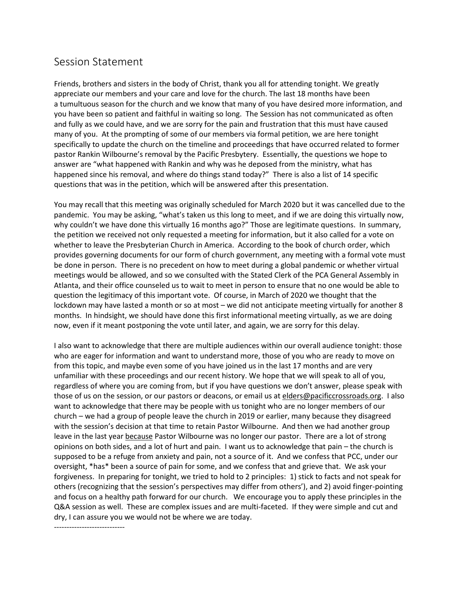## Session Statement

Friends, brothers and sisters in the body of Christ, thank you all for attending tonight. We greatly appreciate our members and your care and love for the church. The last 18 months have been a tumultuous season for the church and we know that many of you have desired more information, and you have been so patient and faithful in waiting so long. The Session has not communicated as often and fully as we could have, and we are sorry for the pain and frustration that this must have caused many of you. At the prompting of some of our members via formal petition, we are here tonight specifically to update the church on the timeline and proceedings that have occurred related to former pastor Rankin Wilbourne's removal by the Pacific Presbytery. Essentially, the questions we hope to answer are "what happened with Rankin and why was he deposed from the ministry, what has happened since his removal, and where do things stand today?" There is also a list of 14 specific questions that was in the petition, which will be answered after this presentation.

You may recall that this meeting was originally scheduled for March 2020 but it was cancelled due to the pandemic. You may be asking, "what's taken us this long to meet, and if we are doing this virtually now, why couldn't we have done this virtually 16 months ago?" Those are legitimate questions. In summary, the petition we received not only requested a meeting for information, but it also called for a vote on whether to leave the Presbyterian Church in America. According to the book of church order, which provides governing documents for our form of church government, any meeting with a formal vote must be done in person. There is no precedent on how to meet during a global pandemic or whether virtual meetings would be allowed, and so we consulted with the Stated Clerk of the PCA General Assembly in Atlanta, and their office counseled us to wait to meet in person to ensure that no one would be able to question the legitimacy of this important vote. Of course, in March of 2020 we thought that the lockdown may have lasted a month or so at most – we did not anticipate meeting virtually for another 8 months. In hindsight, we should have done this first informational meeting virtually, as we are doing now, even if it meant postponing the vote until later, and again, we are sorry for this delay.

I also want to acknowledge that there are multiple audiences within our overall audience tonight: those who are eager for information and want to understand more, those of you who are ready to move on from this topic, and maybe even some of you have joined us in the last 17 months and are very unfamiliar with these proceedings and our recent history. We hope that we will speak to all of you, regardless of where you are coming from, but if you have questions we don't answer, please speak with those of us on the session, or our pastors or deacons, or email us at [elders@pacificcrossroads.org.](mailto:elders@pacificcrossroads.org) I also want to acknowledge that there may be people with us tonight who are no longer members of our church – we had a group of people leave the church in 2019 or earlier, many because they disagreed with the session's decision at that time to retain Pastor Wilbourne. And then we had another group leave in the last year because Pastor Wilbourne was no longer our pastor. There are a lot of strong opinions on both sides, and a lot of hurt and pain. I want us to acknowledge that pain – the church is supposed to be a refuge from anxiety and pain, not a source of it. And we confess that PCC, under our oversight, \*has\* been a source of pain for some, and we confess that and grieve that. We ask your forgiveness. In preparing for tonight, we tried to hold to 2 principles: 1) stick to facts and not speak for others (recognizing that the session's perspectives may differ from others'), and 2) avoid finger-pointing and focus on a healthy path forward for our church. We encourage you to apply these principles in the Q&A session as well. These are complex issues and are multi-faceted. If they were simple and cut and dry, I can assure you we would not be where we are today.

----------------------------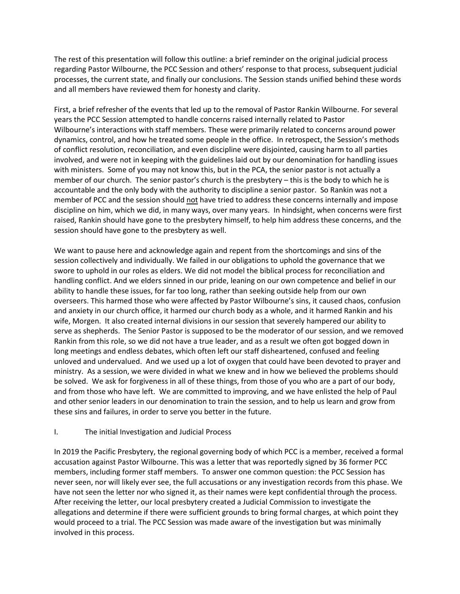The rest of this presentation will follow this outline: a brief reminder on the original judicial process regarding Pastor Wilbourne, the PCC Session and others' response to that process, subsequent judicial processes, the current state, and finally our conclusions. The Session stands unified behind these words and all members have reviewed them for honesty and clarity.

First, a brief refresher of the events that led up to the removal of Pastor Rankin Wilbourne. For several years the PCC Session attempted to handle concerns raised internally related to Pastor Wilbourne's interactions with staff members. These were primarily related to concerns around power dynamics, control, and how he treated some people in the office. In retrospect, the Session's methods of conflict resolution, reconciliation, and even discipline were disjointed, causing harm to all parties involved, and were not in keeping with the guidelines laid out by our denomination for handling issues with ministers. Some of you may not know this, but in the PCA, the senior pastor is not actually a member of our church. The senior pastor's church is the presbytery – this is the body to which he is accountable and the only body with the authority to discipline a senior pastor. So Rankin was not a member of PCC and the session should not have tried to address these concerns internally and impose discipline on him, which we did, in many ways, over many years. In hindsight, when concerns were first raised, Rankin should have gone to the presbytery himself, to help him address these concerns, and the session should have gone to the presbytery as well.

We want to pause here and acknowledge again and repent from the shortcomings and sins of the session collectively and individually. We failed in our obligations to uphold the governance that we swore to uphold in our roles as elders. We did not model the biblical process for reconciliation and handling conflict. And we elders sinned in our pride, leaning on our own competence and belief in our ability to handle these issues, for far too long, rather than seeking outside help from our own overseers. This harmed those who were affected by Pastor Wilbourne's sins, it caused chaos, confusion and anxiety in our church office, it harmed our church body as a whole, and it harmed Rankin and his wife, Morgen. It also created internal divisions in our session that severely hampered our ability to serve as shepherds. The Senior Pastor is supposed to be the moderator of our session, and we removed Rankin from this role, so we did not have a true leader, and as a result we often got bogged down in long meetings and endless debates, which often left our staff disheartened, confused and feeling unloved and undervalued. And we used up a lot of oxygen that could have been devoted to prayer and ministry. As a session, we were divided in what we knew and in how we believed the problems should be solved. We ask for forgiveness in all of these things, from those of you who are a part of our body, and from those who have left. We are committed to improving, and we have enlisted the help of Paul and other senior leaders in our denomination to train the session, and to help us learn and grow from these sins and failures, in order to serve you better in the future.

## I. The initial Investigation and Judicial Process

In 2019 the Pacific Presbytery, the regional governing body of which PCC is a member, received a formal accusation against Pastor Wilbourne. This was a letter that was reportedly signed by 36 former PCC members, including former staff members. To answer one common question: the PCC Session has never seen, nor will likely ever see, the full accusations or any investigation records from this phase. We have not seen the letter nor who signed it, as their names were kept confidential through the process. After receiving the letter, our local presbytery created a Judicial Commission to investigate the allegations and determine if there were sufficient grounds to bring formal charges, at which point they would proceed to a trial. The PCC Session was made aware of the investigation but was minimally involved in this process.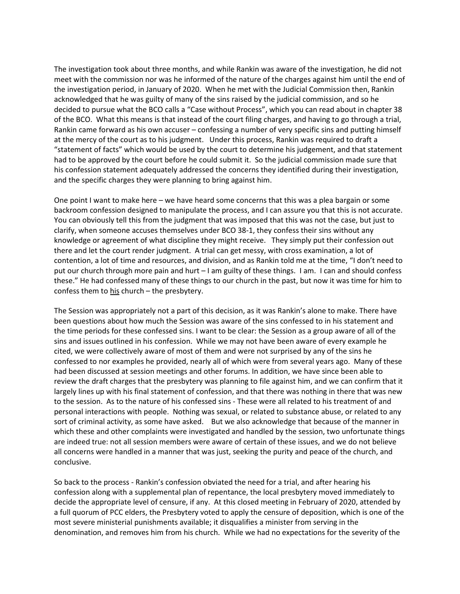The investigation took about three months, and while Rankin was aware of the investigation, he did not meet with the commission nor was he informed of the nature of the charges against him until the end of the investigation period, in January of 2020. When he met with the Judicial Commission then, Rankin acknowledged that he was guilty of many of the sins raised by the judicial commission, and so he decided to pursue what the BCO calls a "Case without Process", which you can read about in chapter 38 of the BCO. What this means is that instead of the court filing charges, and having to go through a trial, Rankin came forward as his own accuser – confessing a number of very specific sins and putting himself at the mercy of the court as to his judgment. Under this process, Rankin was required to draft a "statement of facts" which would be used by the court to determine his judgement, and that statement had to be approved by the court before he could submit it. So the judicial commission made sure that his confession statement adequately addressed the concerns they identified during their investigation, and the specific charges they were planning to bring against him.

One point I want to make here – we have heard some concerns that this was a plea bargain or some backroom confession designed to manipulate the process, and I can assure you that this is not accurate. You can obviously tell this from the judgment that was imposed that this was not the case, but just to clarify, when someone accuses themselves under BCO 38-1, they confess their sins without any knowledge or agreement of what discipline they might receive. They simply put their confession out there and let the court render judgment. A trial can get messy, with cross examination, a lot of contention, a lot of time and resources, and division, and as Rankin told me at the time, "I don't need to put our church through more pain and hurt – I am guilty of these things. I am. I can and should confess these." He had confessed many of these things to our church in the past, but now it was time for him to confess them to his church – the presbytery.

The Session was appropriately not a part of this decision, as it was Rankin's alone to make. There have been questions about how much the Session was aware of the sins confessed to in his statement and the time periods for these confessed sins. I want to be clear: the Session as a group aware of all of the sins and issues outlined in his confession. While we may not have been aware of every example he cited, we were collectively aware of most of them and were not surprised by any of the sins he confessed to nor examples he provided, nearly all of which were from several years ago. Many of these had been discussed at session meetings and other forums. In addition, we have since been able to review the draft charges that the presbytery was planning to file against him, and we can confirm that it largely lines up with his final statement of confession, and that there was nothing in there that was new to the session. As to the nature of his confessed sins - These were all related to his treatment of and personal interactions with people. Nothing was sexual, or related to substance abuse, or related to any sort of criminal activity, as some have asked. But we also acknowledge that because of the manner in which these and other complaints were investigated and handled by the session, two unfortunate things are indeed true: not all session members were aware of certain of these issues, and we do not believe all concerns were handled in a manner that was just, seeking the purity and peace of the church, and conclusive.

So back to the process - Rankin's confession obviated the need for a trial, and after hearing his confession along with a supplemental plan of repentance, the local presbytery moved immediately to decide the appropriate level of censure, if any. At this closed meeting in February of 2020, attended by a full quorum of PCC elders, the Presbytery voted to apply the censure of deposition, which is one of the most severe ministerial punishments available; it disqualifies a minister from serving in the denomination, and removes him from his church. While we had no expectations for the severity of the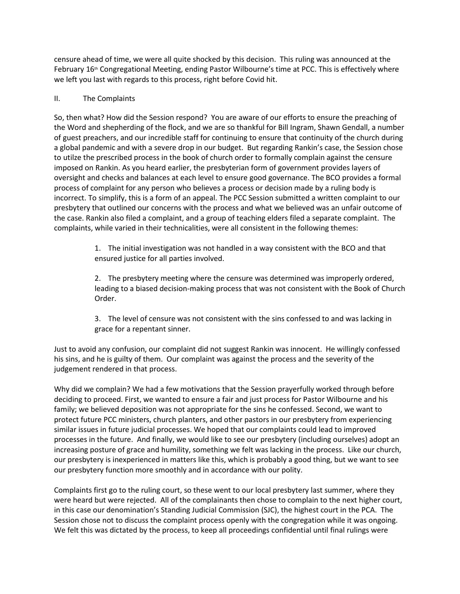censure ahead of time, we were all quite shocked by this decision. This ruling was announced at the February 16<sup>th</sup> Congregational Meeting, ending Pastor Wilbourne's time at PCC. This is effectively where we left you last with regards to this process, right before Covid hit.

## II. The Complaints

So, then what? How did the Session respond? You are aware of our efforts to ensure the preaching of the Word and shepherding of the flock, and we are so thankful for Bill Ingram, Shawn Gendall, a number of guest preachers, and our incredible staff for continuing to ensure that continuity of the church during a global pandemic and with a severe drop in our budget. But regarding Rankin's case, the Session chose to utilze the prescribed process in the book of church order to formally complain against the censure imposed on Rankin. As you heard earlier, the presbyterian form of government provides layers of oversight and checks and balances at each level to ensure good governance. The BCO provides a formal process of complaint for any person who believes a process or decision made by a ruling body is incorrect. To simplify, this is a form of an appeal. The PCC Session submitted a written complaint to our presbytery that outlined our concerns with the process and what we believed was an unfair outcome of the case. Rankin also filed a complaint, and a group of teaching elders filed a separate complaint. The complaints, while varied in their technicalities, were all consistent in the following themes:

> 1. The initial investigation was not handled in a way consistent with the BCO and that ensured justice for all parties involved.

2. The presbytery meeting where the censure was determined was improperly ordered, leading to a biased decision-making process that was not consistent with the Book of Church Order.

3. The level of censure was not consistent with the sins confessed to and was lacking in grace for a repentant sinner.

Just to avoid any confusion, our complaint did not suggest Rankin was innocent. He willingly confessed his sins, and he is guilty of them. Our complaint was against the process and the severity of the judgement rendered in that process.

Why did we complain? We had a few motivations that the Session prayerfully worked through before deciding to proceed. First, we wanted to ensure a fair and just process for Pastor Wilbourne and his family; we believed deposition was not appropriate for the sins he confessed. Second, we want to protect future PCC ministers, church planters, and other pastors in our presbytery from experiencing similar issues in future judicial processes. We hoped that our complaints could lead to improved processes in the future. And finally, we would like to see our presbytery (including ourselves) adopt an increasing posture of grace and humility, something we felt was lacking in the process. Like our church, our presbytery is inexperienced in matters like this, which is probably a good thing, but we want to see our presbytery function more smoothly and in accordance with our polity.

Complaints first go to the ruling court, so these went to our local presbytery last summer, where they were heard but were rejected. All of the complainants then chose to complain to the next higher court, in this case our denomination's Standing Judicial Commission (SJC), the highest court in the PCA. The Session chose not to discuss the complaint process openly with the congregation while it was ongoing. We felt this was dictated by the process, to keep all proceedings confidential until final rulings were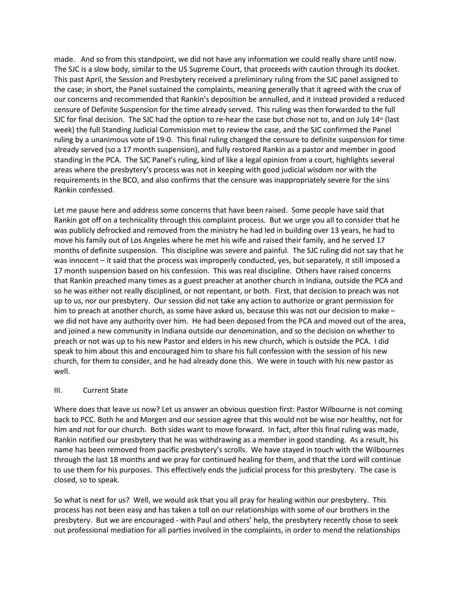made. And so from this standpoint, we did not have any information we could really share until now. The SJC is a slow body, similar to the US Supreme Court, that proceeds with caution through its docket. This past April, the Session and Presbytery received a preliminary ruling from the SJC panel assigned to the case; in short, the Panel sustained the complaints, meaning generally that it agreed with the crux of our concerns and recommended that Rankin's deposition be annulled, and it instead provided a reduced censure of Definite Suspension for the time already served. This ruling was then forwarded to the full SJC for final decision. The SJC had the option to re-hear the case but chose not to, and on July  $14<sup>th</sup>$  (last week) the full Standing Judicial Commission met to review the case, and the SJC confirmed the Panel ruling by a unanimous vote of 19-0. This final ruling changed the censure to definite suspension for time already served (so a 17 month suspension), and fully restored Rankin as a pastor and member in good standing in the PCA. The SJC Panel's ruling, kind of like a legal opinion from a court, highlights several areas where the presbytery's process was not in keeping with good judicial wisdom nor with the requirements in the BCO, and also confirms that the censure was inappropriately severe for the sins Rankin confessed.

Let me pause here and address some concerns that have been raised. Some people have said that Rankin got off on a technicality through this complaint process. But we urge you all to consider that he was publicly defrocked and removed from the ministry he had led in building over 13 years, he had to move his family out of Los Angeles where he met his wife and raised their family, and he served 17 months of definite suspension. This discipline was severe and painful. The SJC ruling did not say that he was innocent – it said that the process was improperly conducted, yes, but separately, it still imposed a 17 month suspension based on his confession. This was real discipline. Others have raised concerns that Rankin preached many times as a guest preacher at another church in Indiana, outside the PCA and so he was either not really disciplined, or not repentant, or both. First, that decision to preach was not up to us, nor our presbytery. Our session did not take any action to authorize or grant permission for him to preach at another church, as some have asked us, because this was not our decision to make – we did not have any authority over him. He had been deposed from the PCA and moved out of the area, and joined a new community in Indiana outside our denomination, and so the decision on whether to preach or not was up to his new Pastor and elders in his new church, which is outside the PCA. I did speak to him about this and encouraged him to share his full confession with the session of his new church, for them to consider, and he had already done this. We were in touch with his new pastor as well.

## III. Current State

Where does that leave us now? Let us answer an obvious question first: Pastor Wilbourne is not coming back to PCC. Both he and Morgen and our session agree that this would not be wise nor healthy, not for him and not for our church. Both sides want to move forward. In fact, after this final ruling was made, Rankin notified our presbytery that he was withdrawing as a member in good standing. As a result, his name has been removed from pacific presbytery's scrolls. We have stayed in touch with the Wilbournes through the last 18 months and we pray for continued healing for them, and that the Lord will continue to use them for his purposes. This effectively ends the judicial process for this presbytery. The case is closed, so to speak.

So what is next for us? Well, we would ask that you all pray for healing within our presbytery. This process has not been easy and has taken a toll on our relationships with some of our brothers in the presbytery. But we are encouraged - with Paul and others' help, the presbytery recently chose to seek out professional mediation for all parties involved in the complaints, in order to mend the relationships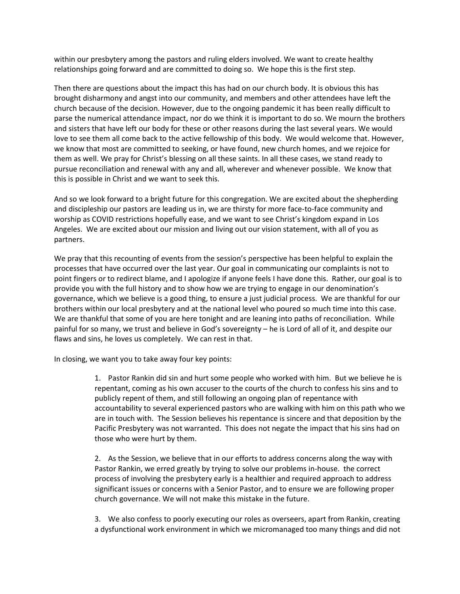within our presbytery among the pastors and ruling elders involved. We want to create healthy relationships going forward and are committed to doing so. We hope this is the first step.

Then there are questions about the impact this has had on our church body. It is obvious this has brought disharmony and angst into our community, and members and other attendees have left the church because of the decision. However, due to the ongoing pandemic it has been really difficult to parse the numerical attendance impact, nor do we think it is important to do so. We mourn the brothers and sisters that have left our body for these or other reasons during the last several years. We would love to see them all come back to the active fellowship of this body. We would welcome that. However, we know that most are committed to seeking, or have found, new church homes, and we rejoice for them as well. We pray for Christ's blessing on all these saints. In all these cases, we stand ready to pursue reconciliation and renewal with any and all, wherever and whenever possible. We know that this is possible in Christ and we want to seek this.

And so we look forward to a bright future for this congregation. We are excited about the shepherding and discipleship our pastors are leading us in, we are thirsty for more face-to-face community and worship as COVID restrictions hopefully ease, and we want to see Christ's kingdom expand in Los Angeles. We are excited about our mission and living out our vision statement, with all of you as partners.

We pray that this recounting of events from the session's perspective has been helpful to explain the processes that have occurred over the last year. Our goal in communicating our complaints is not to point fingers or to redirect blame, and I apologize if anyone feels I have done this. Rather, our goal is to provide you with the full history and to show how we are trying to engage in our denomination's governance, which we believe is a good thing, to ensure a just judicial process. We are thankful for our brothers within our local presbytery and at the national level who poured so much time into this case. We are thankful that some of you are here tonight and are leaning into paths of reconciliation. While painful for so many, we trust and believe in God's sovereignty – he is Lord of all of it, and despite our flaws and sins, he loves us completely. We can rest in that.

In closing, we want you to take away four key points:

1. Pastor Rankin did sin and hurt some people who worked with him. But we believe he is repentant, coming as his own accuser to the courts of the church to confess his sins and to publicly repent of them, and still following an ongoing plan of repentance with accountability to several experienced pastors who are walking with him on this path who we are in touch with. The Session believes his repentance is sincere and that deposition by the Pacific Presbytery was not warranted. This does not negate the impact that his sins had on those who were hurt by them.

2. As the Session, we believe that in our efforts to address concerns along the way with Pastor Rankin, we erred greatly by trying to solve our problems in-house. the correct process of involving the presbytery early is a healthier and required approach to address significant issues or concerns with a Senior Pastor, and to ensure we are following proper church governance. We will not make this mistake in the future.

3. We also confess to poorly executing our roles as overseers, apart from Rankin, creating a dysfunctional work environment in which we micromanaged too many things and did not